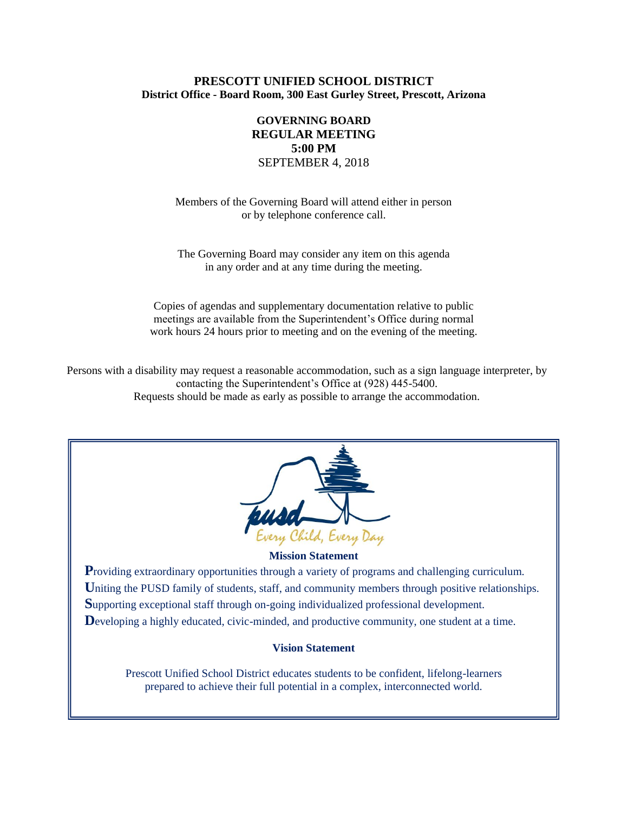# **PRESCOTT UNIFIED SCHOOL DISTRICT District Office - Board Room, 300 East Gurley Street, Prescott, Arizona**

# **GOVERNING BOARD REGULAR MEETING 5:00 PM** SEPTEMBER 4, 2018

Members of the Governing Board will attend either in person or by telephone conference call.

The Governing Board may consider any item on this agenda in any order and at any time during the meeting.

Copies of agendas and supplementary documentation relative to public meetings are available from the Superintendent's Office during normal work hours 24 hours prior to meeting and on the evening of the meeting.

Persons with a disability may request a reasonable accommodation, such as a sign language interpreter, by contacting the Superintendent's Office at (928) 445-5400. Requests should be made as early as possible to arrange the accommodation.



#### **Mission Statement**

**P**roviding extraordinary opportunities through a variety of programs and challenging curriculum. Uniting the PUSD family of students, staff, and community members through positive relationships. **S**upporting exceptional staff through on-going individualized professional development. Developing a highly educated, civic-minded, and productive community, one student at a time.

### **Vision Statement**

Prescott Unified School District educates students to be confident, lifelong-learners prepared to achieve their full potential in a complex, interconnected world.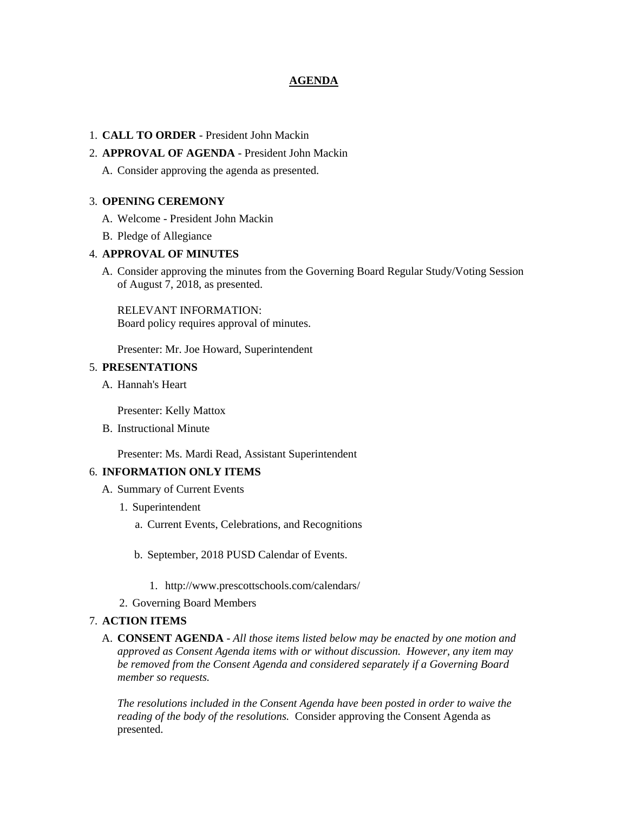# **AGENDA**

## 1. **CALL TO ORDER** - President John Mackin

# 2. **APPROVAL OF AGENDA** - President John Mackin

A. Consider approving the agenda as presented.

#### 3. **OPENING CEREMONY**

- A. Welcome President John Mackin
- B. Pledge of Allegiance

## 4. **APPROVAL OF MINUTES**

A. Consider approving the minutes from the Governing Board Regular Study/Voting Session of August 7, 2018, as presented.

RELEVANT INFORMATION: Board policy requires approval of minutes.

Presenter: Mr. Joe Howard, Superintendent

### 5. **PRESENTATIONS**

A. Hannah's Heart

Presenter: Kelly Mattox

B. Instructional Minute

Presenter: Ms. Mardi Read, Assistant Superintendent

#### 6. **INFORMATION ONLY ITEMS**

- A. Summary of Current Events
	- 1. Superintendent
		- a. Current Events, Celebrations, and Recognitions
		- b. September, 2018 PUSD Calendar of Events.
			- 1. http://www.prescottschools.com/calendars/
	- 2. Governing Board Members

### 7. **ACTION ITEMS**

A. **CONSENT AGENDA** - *All those items listed below may be enacted by one motion and approved as Consent Agenda items with or without discussion. However, any item may be removed from the Consent Agenda and considered separately if a Governing Board member so requests.*

*The resolutions included in the Consent Agenda have been posted in order to waive the reading of the body of the resolutions.* Consider approving the Consent Agenda as presented.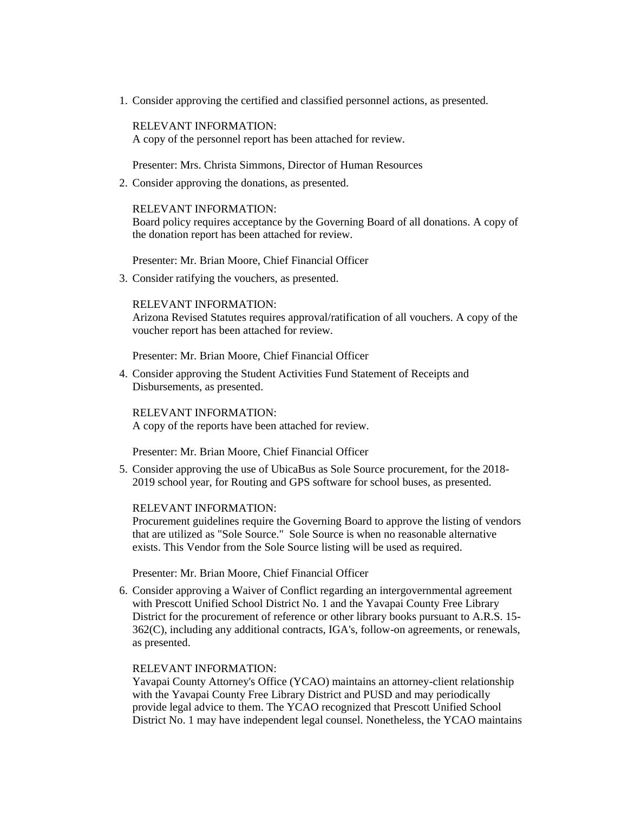1. Consider approving the certified and classified personnel actions, as presented.

RELEVANT INFORMATION: A copy of the personnel report has been attached for review.

Presenter: Mrs. Christa Simmons, Director of Human Resources

2. Consider approving the donations, as presented.

#### RELEVANT INFORMATION:

Board policy requires acceptance by the Governing Board of all donations. A copy of the donation report has been attached for review.

Presenter: Mr. Brian Moore, Chief Financial Officer

3. Consider ratifying the vouchers, as presented.

### RELEVANT INFORMATION:

Arizona Revised Statutes requires approval/ratification of all vouchers. A copy of the voucher report has been attached for review.

Presenter: Mr. Brian Moore, Chief Financial Officer

4. Consider approving the Student Activities Fund Statement of Receipts and Disbursements, as presented.

RELEVANT INFORMATION: A copy of the reports have been attached for review.

Presenter: Mr. Brian Moore, Chief Financial Officer

5. Consider approving the use of UbicaBus as Sole Source procurement, for the 2018- 2019 school year, for Routing and GPS software for school buses, as presented.

### RELEVANT INFORMATION:

Procurement guidelines require the Governing Board to approve the listing of vendors that are utilized as "Sole Source." Sole Source is when no reasonable alternative exists. This Vendor from the Sole Source listing will be used as required.

Presenter: Mr. Brian Moore, Chief Financial Officer

6. Consider approving a Waiver of Conflict regarding an intergovernmental agreement with Prescott Unified School District No. 1 and the Yavapai County Free Library District for the procurement of reference or other library books pursuant to A.R.S. 15- 362(C), including any additional contracts, IGA's, follow-on agreements, or renewals, as presented.

## RELEVANT INFORMATION:

Yavapai County Attorney's Office (YCAO) maintains an attorney-client relationship with the Yavapai County Free Library District and PUSD and may periodically provide legal advice to them. The YCAO recognized that Prescott Unified School District No. 1 may have independent legal counsel. Nonetheless, the YCAO maintains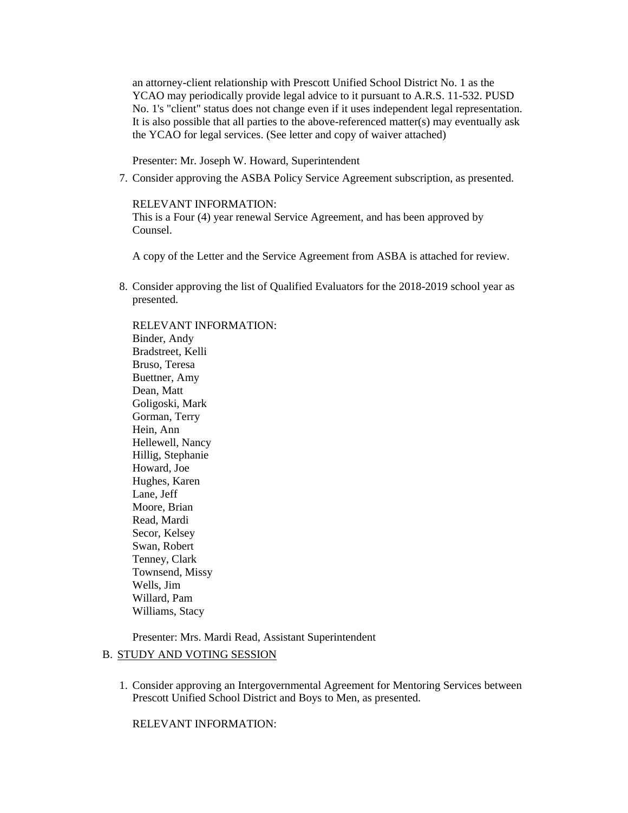an attorney-client relationship with Prescott Unified School District No. 1 as the YCAO may periodically provide legal advice to it pursuant to A.R.S. 11-532. PUSD No. 1's "client" status does not change even if it uses independent legal representation. It is also possible that all parties to the above-referenced matter(s) may eventually ask the YCAO for legal services. (See letter and copy of waiver attached)

Presenter: Mr. Joseph W. Howard, Superintendent

7. Consider approving the ASBA Policy Service Agreement subscription, as presented.

RELEVANT INFORMATION:

This is a Four (4) year renewal Service Agreement, and has been approved by Counsel.

A copy of the Letter and the Service Agreement from ASBA is attached for review.

8. Consider approving the list of Qualified Evaluators for the 2018-2019 school year as presented.

RELEVANT INFORMATION: Binder, Andy Bradstreet, Kelli Bruso, Teresa Buettner, Amy Dean, Matt Goligoski, Mark Gorman, Terry Hein, Ann Hellewell, Nancy Hillig, Stephanie Howard, Joe Hughes, Karen Lane, Jeff Moore, Brian Read, Mardi Secor, Kelsey Swan, Robert Tenney, Clark Townsend, Missy Wells, Jim Willard, Pam Williams, Stacy

Presenter: Mrs. Mardi Read, Assistant Superintendent

# B. STUDY AND VOTING SESSION

1. Consider approving an Intergovernmental Agreement for Mentoring Services between Prescott Unified School District and Boys to Men, as presented.

RELEVANT INFORMATION: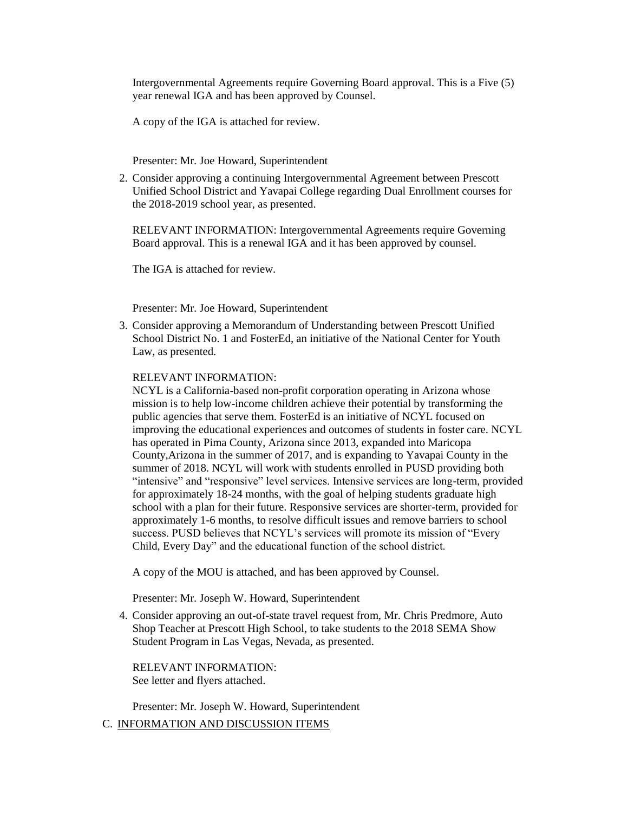Intergovernmental Agreements require Governing Board approval. This is a Five (5) year renewal IGA and has been approved by Counsel.

A copy of the IGA is attached for review.

Presenter: Mr. Joe Howard, Superintendent

2. Consider approving a continuing Intergovernmental Agreement between Prescott Unified School District and Yavapai College regarding Dual Enrollment courses for the 2018-2019 school year, as presented.

RELEVANT INFORMATION: Intergovernmental Agreements require Governing Board approval. This is a renewal IGA and it has been approved by counsel.

The IGA is attached for review.

Presenter: Mr. Joe Howard, Superintendent

3. Consider approving a Memorandum of Understanding between Prescott Unified School District No. 1 and FosterEd, an initiative of the National Center for Youth Law, as presented.

#### RELEVANT INFORMATION:

NCYL is a California-based non-profit corporation operating in Arizona whose mission is to help low-income children achieve their potential by transforming the public agencies that serve them. FosterEd is an initiative of NCYL focused on improving the educational experiences and outcomes of students in foster care. NCYL has operated in Pima County, Arizona since 2013, expanded into Maricopa County,Arizona in the summer of 2017, and is expanding to Yavapai County in the summer of 2018. NCYL will work with students enrolled in PUSD providing both "intensive" and "responsive" level services. Intensive services are long-term, provided for approximately 18-24 months, with the goal of helping students graduate high school with a plan for their future. Responsive services are shorter-term, provided for approximately 1-6 months, to resolve difficult issues and remove barriers to school success. PUSD believes that NCYL's services will promote its mission of "Every Child, Every Day" and the educational function of the school district.

A copy of the MOU is attached, and has been approved by Counsel.

Presenter: Mr. Joseph W. Howard, Superintendent

4. Consider approving an out-of-state travel request from, Mr. Chris Predmore, Auto Shop Teacher at Prescott High School, to take students to the 2018 SEMA Show Student Program in Las Vegas, Nevada, as presented.

RELEVANT INFORMATION: See letter and flyers attached.

Presenter: Mr. Joseph W. Howard, Superintendent

C. INFORMATION AND DISCUSSION ITEMS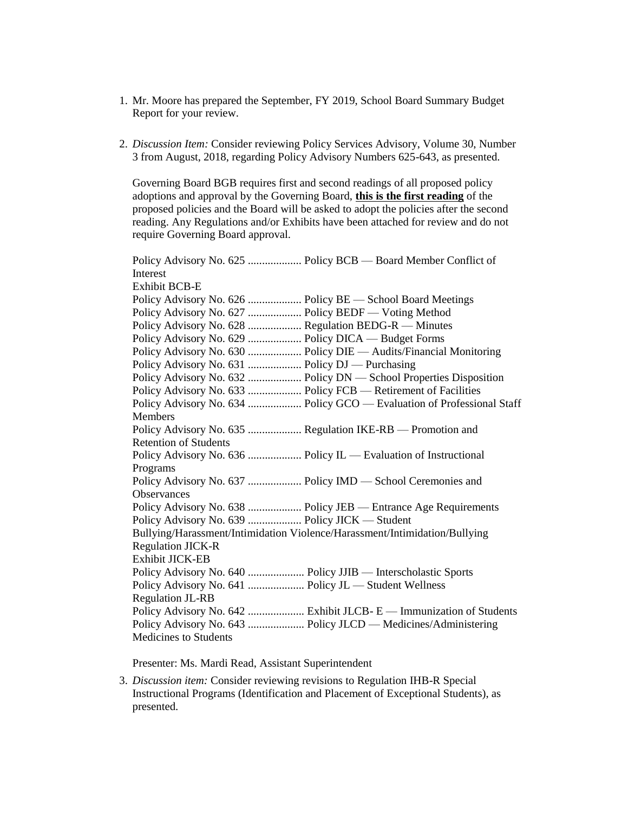- 1. Mr. Moore has prepared the September, FY 2019, School Board Summary Budget Report for your review.
- 2. *Discussion Item:* Consider reviewing Policy Services Advisory, Volume 30, Number 3 from August, 2018, regarding Policy Advisory Numbers 625-643, as presented.

Governing Board BGB requires first and second readings of all proposed policy adoptions and approval by the Governing Board, **this is the first reading** of the proposed policies and the Board will be asked to adopt the policies after the second reading. Any Regulations and/or Exhibits have been attached for review and do not require Governing Board approval.

Policy Advisory No. 625 ................... Policy BCB — Board Member Conflict of Interest Exhibit BCB-E Policy Advisory No. 626 ................... Policy BE — School Board Meetings Policy Advisory No. 627 ................... Policy BEDF — Voting Method Policy Advisory No. 628 ................... Regulation BEDG-R — Minutes Policy Advisory No. 629 ................... Policy DICA — Budget Forms Policy Advisory No. 630 ................... Policy DIE — Audits/Financial Monitoring Policy Advisory No. 631 ................... Policy DJ — Purchasing Policy Advisory No. 632 ................... Policy DN — School Properties Disposition Policy Advisory No. 633 .................... Policy FCB — Retirement of Facilities Policy Advisory No. 634 ................... Policy GCO — Evaluation of Professional Staff Members Policy Advisory No. 635 ................... Regulation IKE-RB — Promotion and Retention of Students Policy Advisory No. 636 ................... Policy IL — Evaluation of Instructional Programs Policy Advisory No. 637 ................... Policy IMD — School Ceremonies and **Observances** Policy Advisory No. 638 .................... Policy JEB — Entrance Age Requirements Policy Advisory No. 639 ................... Policy JICK — Student Bullying/Harassment/Intimidation Violence/Harassment/Intimidation/Bullying Regulation JICK-R Exhibit JICK-EB Policy Advisory No. 640 .................... Policy JJIB — Interscholastic Sports Policy Advisory No. 641 .................... Policy JL — Student Wellness Regulation JL-RB Policy Advisory No. 642 ....................... Exhibit JLCB- E — Immunization of Students Policy Advisory No. 643 .......................... Policy JLCD — Medicines/Administering Medicines to Students

Presenter: Ms. Mardi Read, Assistant Superintendent

3. *Discussion item:* Consider reviewing revisions to Regulation IHB-R Special Instructional Programs (Identification and Placement of Exceptional Students), as presented.